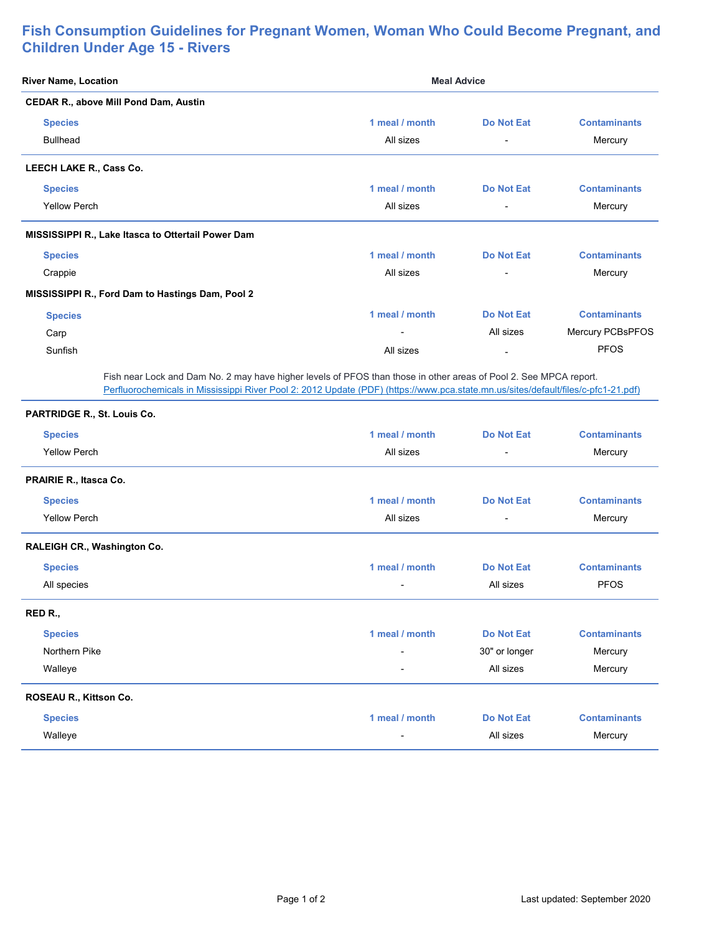## **Fish Consumption Guidelines for Pregnant Women, Woman Who Could Become Pregnant, and Children Under Age 15 - Rivers**

| <b>River Name, Location</b>                               | <b>Meal Advice</b>       |                          |                     |  |  |
|-----------------------------------------------------------|--------------------------|--------------------------|---------------------|--|--|
| <b>CEDAR R., above Mill Pond Dam, Austin</b>              |                          |                          |                     |  |  |
| <b>Species</b>                                            | 1 meal / month           | Do Not Eat               | <b>Contaminants</b> |  |  |
| <b>Bullhead</b>                                           | All sizes                | $\overline{\phantom{a}}$ | Mercury             |  |  |
| LEECH LAKE R., Cass Co.                                   |                          |                          |                     |  |  |
| <b>Species</b>                                            | 1 meal / month           | Do Not Eat               | <b>Contaminants</b> |  |  |
| <b>Yellow Perch</b>                                       | All sizes                | $\overline{\phantom{a}}$ | Mercury             |  |  |
| <b>MISSISSIPPI R., Lake Itasca to Ottertail Power Dam</b> |                          |                          |                     |  |  |
| <b>Species</b>                                            | 1 meal / month           | Do Not Eat               | <b>Contaminants</b> |  |  |
| Crappie                                                   | All sizes                | $\blacksquare$           | Mercury             |  |  |
| MISSISSIPPI R., Ford Dam to Hastings Dam, Pool 2          |                          |                          |                     |  |  |
| <b>Species</b>                                            | 1 meal / month           | <b>Do Not Eat</b>        | <b>Contaminants</b> |  |  |
| Carp                                                      | $\overline{\phantom{0}}$ | All sizes                | Mercury PCBsPFOS    |  |  |
| Sunfish                                                   | All sizes                | $\overline{\phantom{0}}$ | <b>PFOS</b>         |  |  |

Fish near Lock and Dam No. 2 may have higher levels of PFOS than those in other areas of Pool 2. See MPCA report. Perfluorochemicals in Mississippi River Pool 2: 2012 Update (PDF) (<https://www.pca.state.mn.us/sites/default/files/c-pfc1-21.pdf>)

## **PARTRIDGE R., St. Louis Co.**

| <b>Species</b><br><b>Yellow Perch</b> | 1 meal / month<br>All sizes | <b>Do Not Eat</b><br>$\overline{\phantom{a}}$ | <b>Contaminants</b><br>Mercury |
|---------------------------------------|-----------------------------|-----------------------------------------------|--------------------------------|
| PRAIRIE R., Itasca Co.                |                             |                                               |                                |
| <b>Species</b>                        | 1 meal / month              | <b>Do Not Eat</b>                             | <b>Contaminants</b>            |
| <b>Yellow Perch</b>                   | All sizes                   | $\overline{\phantom{a}}$                      | Mercury                        |
| RALEIGH CR., Washington Co.           |                             |                                               |                                |
| <b>Species</b>                        | 1 meal / month              | <b>Do Not Eat</b>                             | <b>Contaminants</b>            |
| All species                           | $\overline{\phantom{a}}$    | All sizes                                     | <b>PFOS</b>                    |
| RED R.,                               |                             |                                               |                                |
| <b>Species</b>                        | 1 meal / month              | <b>Do Not Eat</b>                             | <b>Contaminants</b>            |
| Northern Pike                         | $\overline{\phantom{a}}$    | 30" or longer                                 | Mercury                        |
| Walleye                               | $\overline{\phantom{a}}$    | All sizes                                     | Mercury                        |
| ROSEAU R., Kittson Co.                |                             |                                               |                                |
| <b>Species</b>                        | 1 meal / month              | <b>Do Not Eat</b>                             | <b>Contaminants</b>            |
| Walleye                               |                             | All sizes                                     | Mercury                        |
|                                       |                             |                                               |                                |